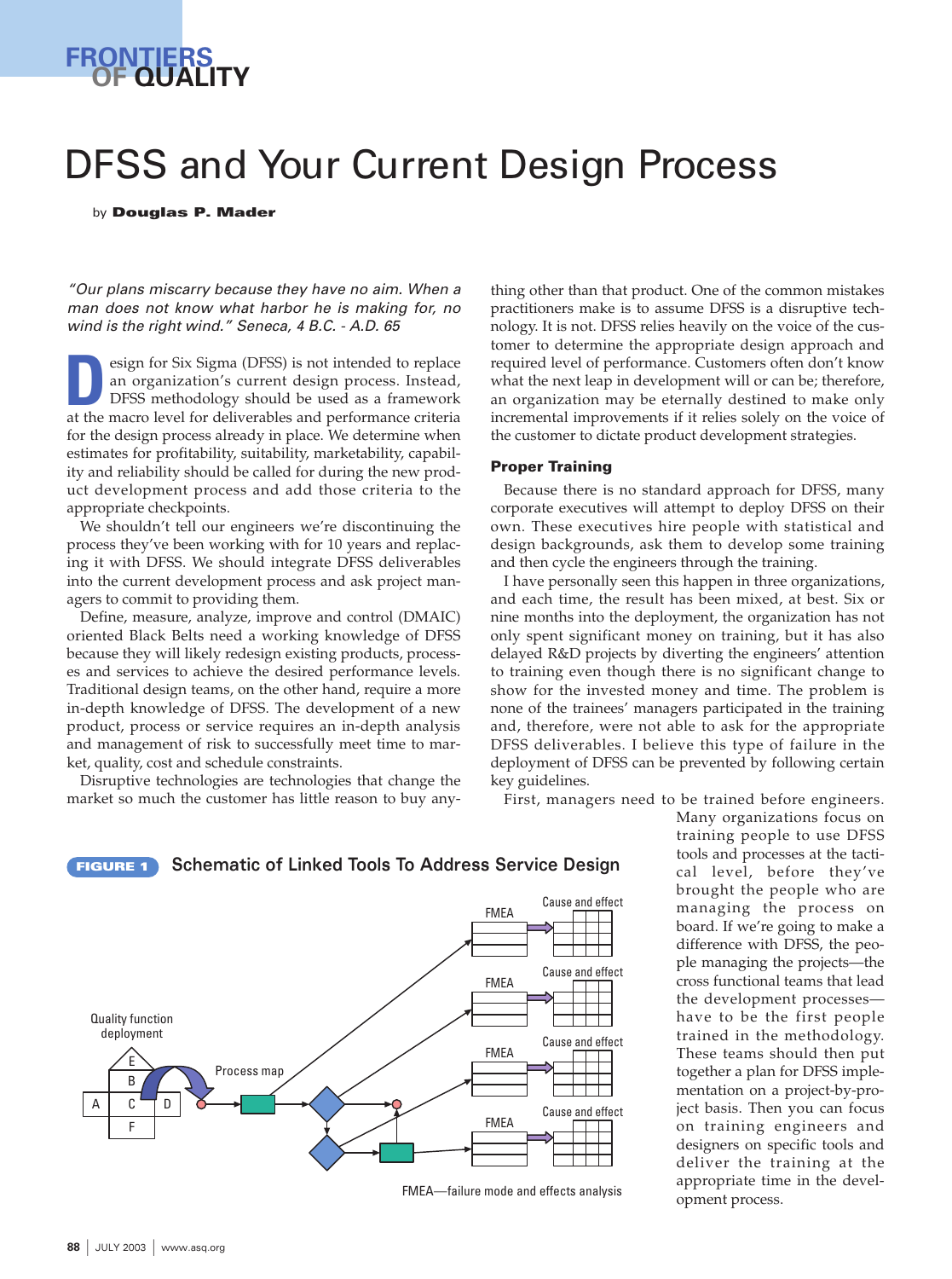

# DFSS and Your Current Design Process

by **Douglas P. Mader**

"Our plans miscarry because they have no aim. When a man does not know what harbor he is making for, no wind is the right wind." Seneca, 4 B.C. - A.D. 65

esign for Six Sigma (DFSS) is not intended to replace an organization's current design process. Instead, DFSS methodology should be used as a framework **at the macro level for deliverables and performance criteria and performance criteria and performance criteria** for the design process already in place. We determine when estimates for profitability, suitability, marketability, capability and reliability should be called for during the new product development process and add those criteria to the appropriate checkpoints.

We shouldn't tell our engineers we're discontinuing the process they've been working with for 10 years and replacing it with DFSS. We should integrate DFSS deliverables into the current development process and ask project managers to commit to providing them.

Define, measure, analyze, improve and control (DMAIC) oriented Black Belts need a working knowledge of DFSS because they will likely redesign existing products, processes and services to achieve the desired performance levels. Traditional design teams, on the other hand, require a more in-depth knowledge of DFSS. The development of a new product, process or service requires an in-depth analysis and management of risk to successfully meet time to market, quality, cost and schedule constraints.

Disruptive technologies are technologies that change the market so much the customer has little reason to buy anything other than that product. One of the common mistakes practitioners make is to assume DFSS is a disruptive technology. It is not. DFSS relies heavily on the voice of the customer to determine the appropriate design approach and required level of performance. Customers often don't know what the next leap in development will or can be; therefore, an organization may be eternally destined to make only incremental improvements if it relies solely on the voice of the customer to dictate product development strategies.

#### **Proper Training**

Because there is no standard approach for DFSS, many corporate executives will attempt to deploy DFSS on their own. These executives hire people with statistical and design backgrounds, ask them to develop some training and then cycle the engineers through the training.

I have personally seen this happen in three organizations, and each time, the result has been mixed, at best. Six or nine months into the deployment, the organization has not only spent significant money on training, but it has also delayed R&D projects by diverting the engineers' attention to training even though there is no significant change to show for the invested money and time. The problem is none of the trainees' managers participated in the training and, therefore, were not able to ask for the appropriate DFSS deliverables. I believe this type of failure in the deployment of DFSS can be prevented by following certain key guidelines.

First, managers need to be trained before engineers.

training people to use DFSS tools and processes at the tactical level, before they've brought the people who are managing the process on board. If we're going to make a difference with DFSS, the people managing the projects—the cross functional teams that lead the development processes have to be the first people trained in the methodology. These teams should then put together a plan for DFSS implementation on a project-by-project basis. Then you can focus on training engineers and designers on specific tools and deliver the training at the appropriate time in the development process.

Many organizations focus on





FMEA—failure mode and effects analysis